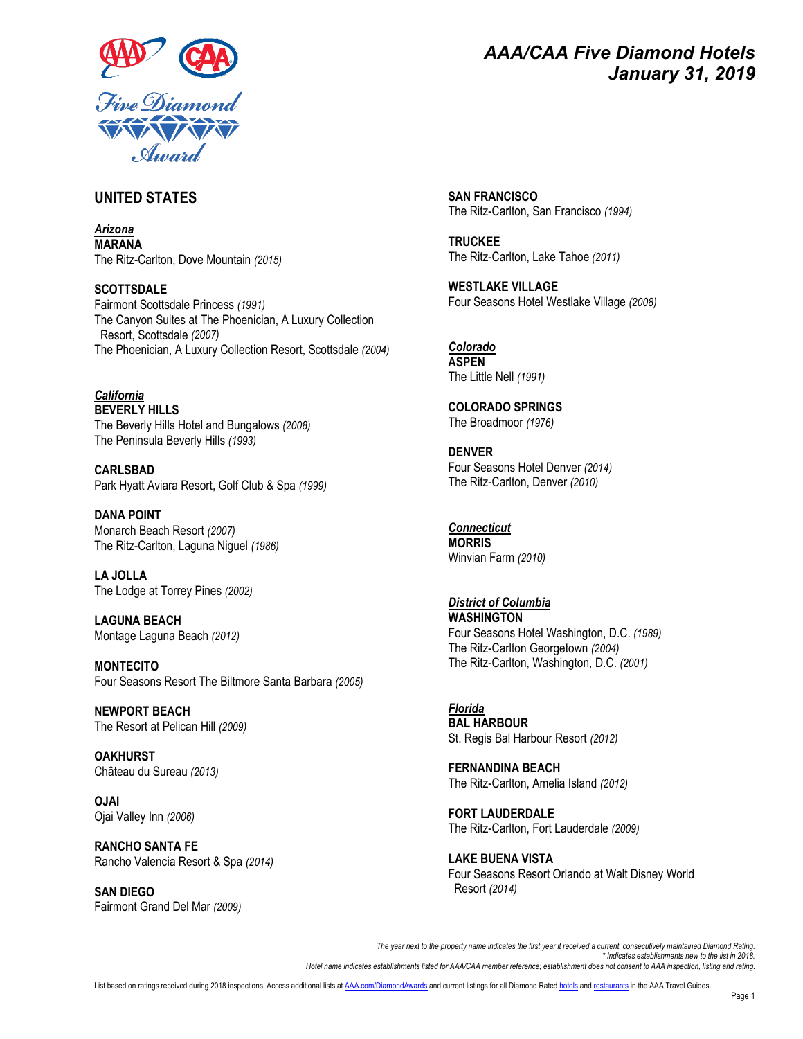

# *AAA/CAA Five Diamond Hotels January 31, 2019*

### **UNITED STATES**

*Arizona* **MARANA** The Ritz-Carlton, Dove Mountain *(2015)*

**SCOTTSDALE** Fairmont Scottsdale Princess *(1991)* The Canyon Suites at The Phoenician, A Luxury Collection Resort, Scottsdale *(2007)* The Phoenician, A Luxury Collection Resort, Scottsdale *(2004)*

*California* **BEVERLY HILLS** The Beverly Hills Hotel and Bungalows *(2008)* The Peninsula Beverly Hills *(1993)*

**CARLSBAD** Park Hyatt Aviara Resort, Golf Club & Spa *(1999)*

**DANA POINT** Monarch Beach Resort *(2007)* The Ritz-Carlton, Laguna Niguel *(1986)*

**LA JOLLA** The Lodge at Torrey Pines *(2002)*

**LAGUNA BEACH** Montage Laguna Beach *(2012)*

**MONTECITO** Four Seasons Resort The Biltmore Santa Barbara *(2005)*

**NEWPORT BEACH** The Resort at Pelican Hill *(2009)*

**OAKHURST** Château du Sureau *(2013)*

**OJAI** Ojai Valley Inn *(2006)*

**RANCHO SANTA FE** Rancho Valencia Resort & Spa *(2014)*

**SAN DIEGO** Fairmont Grand Del Mar *(2009)* **SAN FRANCISCO** The Ritz-Carlton, San Francisco *(1994)*

**TRUCKEE** The Ritz-Carlton, Lake Tahoe *(2011)*

**WESTLAKE VILLAGE** Four Seasons Hotel Westlake Village *(2008)*

*Colorado* **ASPEN** The Little Nell *(1991)*

**COLORADO SPRINGS** The Broadmoor *(1976)*

**DENVER** Four Seasons Hotel Denver *(2014)* The Ritz-Carlton, Denver *(2010)*

*Connecticut* **MORRIS** Winvian Farm *(2010)*

*District of Columbia* **WASHINGTON** Four Seasons Hotel Washington, D.C. *(1989)* The Ritz-Carlton Georgetown *(2004)* The Ritz-Carlton, Washington, D.C. *(2001)*

*Florida* **BAL HARBOUR** St. Regis Bal Harbour Resort *(2012)*

**FERNANDINA BEACH** The Ritz-Carlton, Amelia Island *(2012)*

**FORT LAUDERDALE** The Ritz-Carlton, Fort Lauderdale *(2009)*

**LAKE BUENA VISTA** Four Seasons Resort Orlando at Walt Disney World Resort *(2014)*

*The year next to the property name indicates the first year it received a current, consecutively maintained Diamond Rating. \* Indicates establishments new to the list in 2018. Hotel name indicates establishments listed for AAA/CAA member reference; establishment does not consent to AAA inspection, listing and rating.*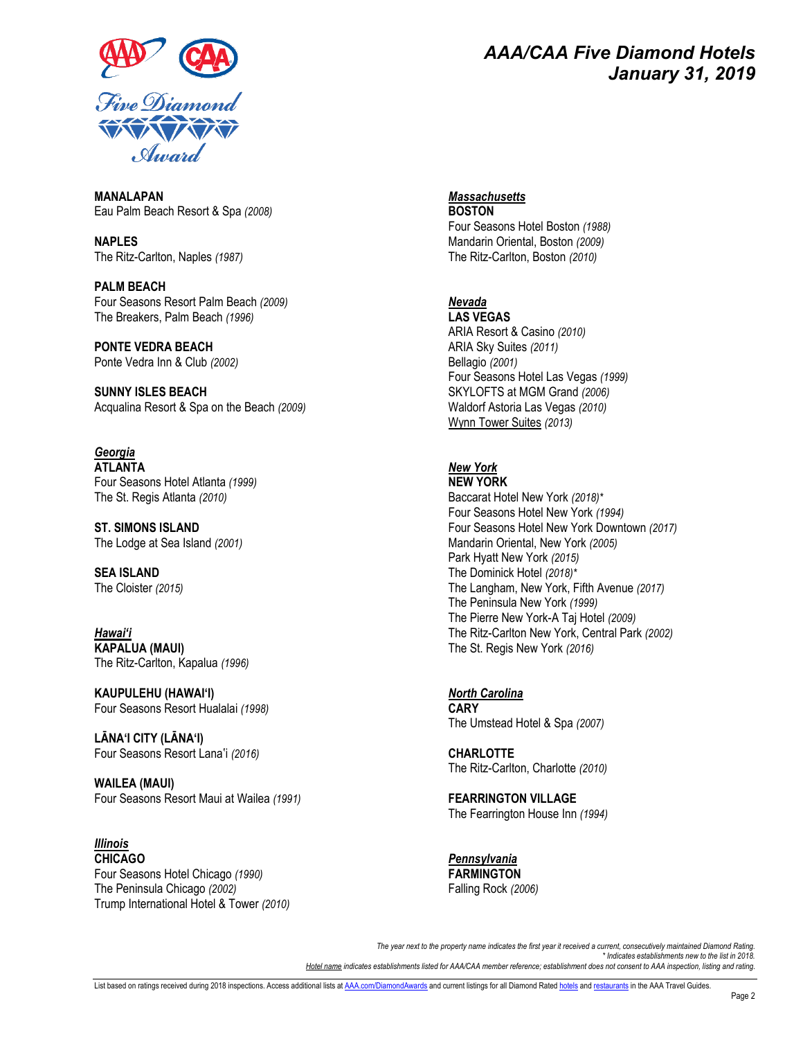

# *AAA/CAA Five Diamond Hotels January 31, 2019*

**MANALAPAN** Eau Palm Beach Resort & Spa *(2008)*

**NAPLES** The Ritz-Carlton, Naples *(1987)*

**PALM BEACH** Four Seasons Resort Palm Beach *(2009)* The Breakers, Palm Beach *(1996)*

**PONTE VEDRA BEACH** Ponte Vedra Inn & Club *(2002)*

**SUNNY ISLES BEACH** Acqualina Resort & Spa on the Beach *(2009)*

*Georgia* **ATLANTA** Four Seasons Hotel Atlanta *(1999)* The St. Regis Atlanta *(2010)*

**ST. SIMONS ISLAND** The Lodge at Sea Island *(2001)*

**SEA ISLAND** The Cloister *(2015)*

*Hawai'i* **KAPALUA (MAUI)** The Ritz-Carlton, Kapalua *(1996)*

**KAUPULEHU (HAWAI'I)** Four Seasons Resort Hualalai *(1998)*

**LĀNA'I CITY (LĀNA'I)** Four Seasons Resort Lanaʽi *(2016)*

**WAILEA (MAUI)** Four Seasons Resort Maui at Wailea *(1991)*

*Illinois* **CHICAGO** Four Seasons Hotel Chicago *(1990)* The Peninsula Chicago *(2002)* Trump International Hotel & Tower *(2010)* *Massachusetts*

**BOSTON** Four Seasons Hotel Boston *(1988)* Mandarin Oriental, Boston *(2009)* The Ritz-Carlton, Boston *(2010)*

#### *Nevada*

**LAS VEGAS** ARIA Resort & Casino *(2010)* ARIA Sky Suites *(2011)* Bellagio *(2001)* Four Seasons Hotel Las Vegas *(1999)* SKYLOFTS at MGM Grand *(2006)* Waldorf Astoria Las Vegas *(2010)* Wynn Tower Suites *(2013)*

### *New York*

**NEW YORK** Baccarat Hotel New York *(2018)\** Four Seasons Hotel New York *(1994)* Four Seasons Hotel New York Downtown *(2017)* Mandarin Oriental, New York *(2005)* Park Hyatt New York *(2015)* The Dominick Hotel *(2018)\** The Langham, New York, Fifth Avenue *(2017)* The Peninsula New York *(1999)* The Pierre New York-A Taj Hotel *(2009)* The Ritz-Carlton New York, Central Park *(2002)* The St. Regis New York *(2016)*

*North Carolina* **CARY** The Umstead Hotel & Spa *(2007)*

**CHARLOTTE** The Ritz-Carlton, Charlotte *(2010)*

**FEARRINGTON VILLAGE** The Fearrington House Inn *(1994)*

*Pennsylvania* **FARMINGTON** Falling Rock *(2006)*

*The year next to the property name indicates the first year it received a current, consecutively maintained Diamond Rating. \* Indicates establishments new to the list in 2018. Hotel name indicates establishments listed for AAA/CAA member reference; establishment does not consent to AAA inspection, listing and rating.*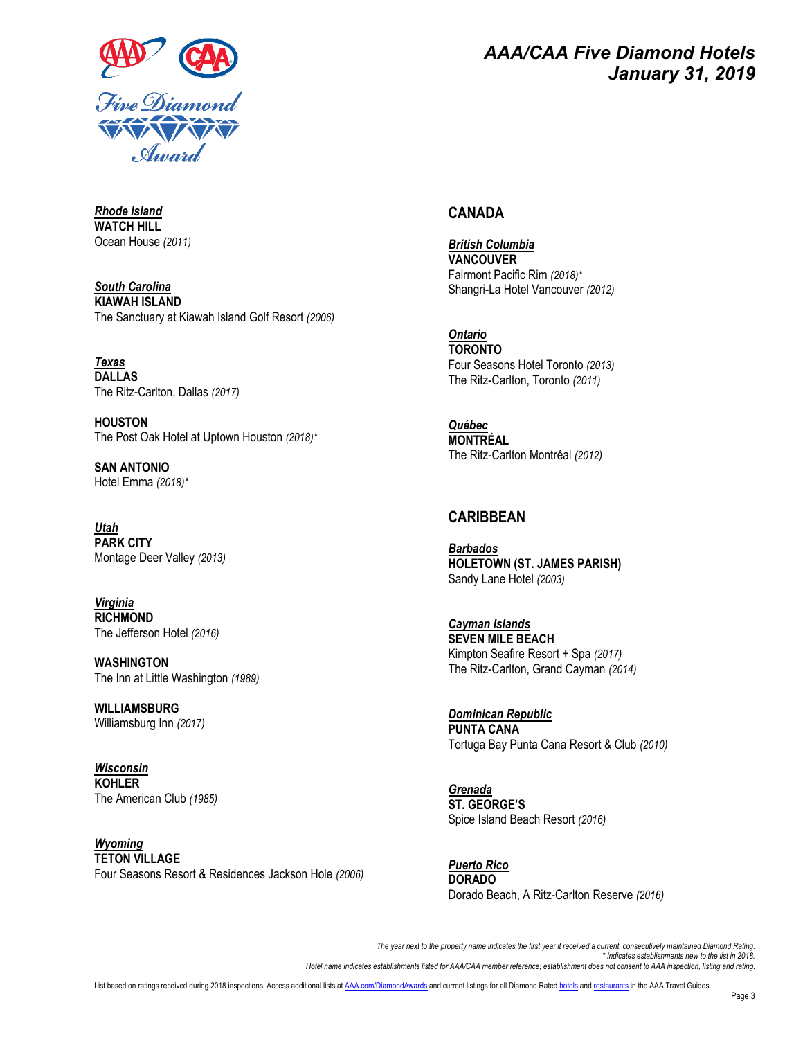

## *AAA/CAA Five Diamond Hotels January 31, 2019*

### **CANADA**

*British Columbia* **VANCOUVER** Fairmont Pacific Rim *(2018)\** Shangri-La Hotel Vancouver *(2012)*

*Ontario* **TORONTO** Four Seasons Hotel Toronto *(2013)* The Ritz-Carlton, Toronto *(2011)*

*Québec* **MONTRÉAL** The Ritz-Carlton Montréal *(2012)*

#### **CARIBBEAN**

*Barbados* **HOLETOWN (ST. JAMES PARISH)** Sandy Lane Hotel *(2003)*

*Cayman Islands* **SEVEN MILE BEACH** Kimpton Seafire Resort + Spa *(2017)* The Ritz-Carlton, Grand Cayman *(2014)*

*Dominican Republic* **PUNTA CANA** Tortuga Bay Punta Cana Resort & Club *(2010)*

*Grenada* **ST. GEORGE'S** Spice Island Beach Resort *(2016)*

*Puerto Rico* **DORADO** Dorado Beach, A Ritz-Carlton Reserve *(2016)*

*The year next to the property name indicates the first year it received a current, consecutively maintained Diamond Rating. \* Indicates establishments new to the list in 2018. Hotel name indicates establishments listed for AAA/CAA member reference; establishment does not consent to AAA inspection, listing and rating.*

*Rhode Island* **WATCH HILL** Ocean House *(2011)*

*South Carolina* **KIAWAH ISLAND** The Sanctuary at Kiawah Island Golf Resort *(2006)*

*Texas* **DALLAS** The Ritz-Carlton, Dallas *(2017)*

**HOUSTON** The Post Oak Hotel at Uptown Houston *(2018)\**

**SAN ANTONIO** Hotel Emma *(2018)\**

*Utah* **PARK CITY** Montage Deer Valley *(2013)*

*Virginia* **RICHMOND** The Jefferson Hotel *(2016)*

**WASHINGTON** The Inn at Little Washington *(1989)*

**WILLIAMSBURG** Williamsburg Inn *(2017)*

*Wisconsin* **KOHLER** The American Club *(1985)*

*Wyoming* **TETON VILLAGE** Four Seasons Resort & Residences Jackson Hole *(2006)*

List based on ratings received during 2018 inspections. Access additional lists a[t AAA.com/DiamondAwards](http://www.aaa.com/DiamondAwards) and current listings for all Diamond Rate[d hotels](http://www.aaa.com/travelguides/hotels) an[d restaurants](http://www.aaa.com/travelguides/restaurants) in the AAA Travel Guides.